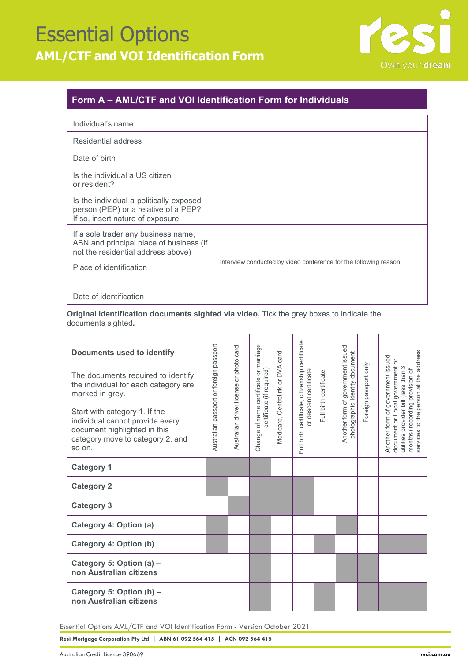## Essential Options **AML/CTF and VOI Identification Form**



## **Form A – AML/CTF and VOI Identification Form for Individuals**

| Individual's name                                                                                                    |                                                                   |
|----------------------------------------------------------------------------------------------------------------------|-------------------------------------------------------------------|
| Residential address                                                                                                  |                                                                   |
| Date of birth                                                                                                        |                                                                   |
| Is the individual a US citizen<br>or resident?                                                                       |                                                                   |
| Is the individual a politically exposed<br>person (PEP) or a relative of a PEP?<br>If so, insert nature of exposure. |                                                                   |
| If a sole trader any business name,<br>ABN and principal place of business (if<br>not the residential address above) |                                                                   |
| Place of identification                                                                                              | Interview conducted by video conference for the following reason: |
| Date of identification                                                                                               |                                                                   |

**Original identification documents sighted via video.** Tick the grey boxes to indicate the documents sighted**.**

| <b>Documents used to identify</b><br>The documents required to identify<br>the individual for each category are<br>marked in grey.<br>Start with category 1. If the<br>individual cannot provide every<br>document highlighted in this<br>category move to category 2, and<br>so on. | Australian passport or foreign passport | Australian driver license or photo card | Change of name certificate or marriage<br>certificate (if required) | Medicare, Centrelink or DVA card | Full birth certificate, citizenship certificate<br>or descent certificate | Full birth certificate | Another form of government issued<br>photographic Identity document | Foreign passport only | services to the person at the address<br>Another form of government issued<br>document or Local government or<br>utilities provider bill (less than 3<br>months) recording provision of |
|--------------------------------------------------------------------------------------------------------------------------------------------------------------------------------------------------------------------------------------------------------------------------------------|-----------------------------------------|-----------------------------------------|---------------------------------------------------------------------|----------------------------------|---------------------------------------------------------------------------|------------------------|---------------------------------------------------------------------|-----------------------|-----------------------------------------------------------------------------------------------------------------------------------------------------------------------------------------|
| <b>Category 1</b>                                                                                                                                                                                                                                                                    |                                         |                                         |                                                                     |                                  |                                                                           |                        |                                                                     |                       |                                                                                                                                                                                         |
| <b>Category 2</b>                                                                                                                                                                                                                                                                    |                                         |                                         |                                                                     |                                  |                                                                           |                        |                                                                     |                       |                                                                                                                                                                                         |
| <b>Category 3</b>                                                                                                                                                                                                                                                                    |                                         |                                         |                                                                     |                                  |                                                                           |                        |                                                                     |                       |                                                                                                                                                                                         |
| Category 4: Option (a)                                                                                                                                                                                                                                                               |                                         |                                         |                                                                     |                                  |                                                                           |                        |                                                                     |                       |                                                                                                                                                                                         |
| Category 4: Option (b)                                                                                                                                                                                                                                                               |                                         |                                         |                                                                     |                                  |                                                                           |                        |                                                                     |                       |                                                                                                                                                                                         |
| Category 5: Option (a) -<br>non Australian citizens                                                                                                                                                                                                                                  |                                         |                                         |                                                                     |                                  |                                                                           |                        |                                                                     |                       |                                                                                                                                                                                         |
| Category 5: Option (b) -<br>non Australian citizens                                                                                                                                                                                                                                  |                                         |                                         |                                                                     |                                  |                                                                           |                        |                                                                     |                       |                                                                                                                                                                                         |

Essential Options AML/CTF and VOI Identification Form - Version October 2021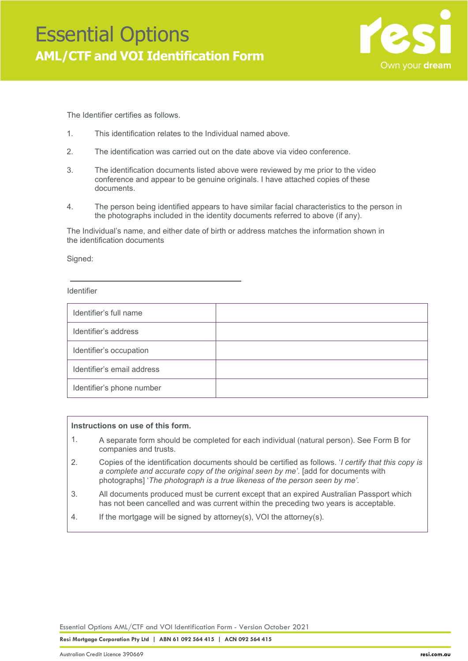

The Identifier certifies as follows.

- 1. This identification relates to the Individual named above.
- 2. The identification was carried out on the date above via video conference.
- 3. The identification documents listed above were reviewed by me prior to the video conference and appear to be genuine originals. I have attached copies of these documents.
- 4. The person being identified appears to have similar facial characteristics to the person in the photographs included in the identity documents referred to above (if any).

The Individual's name, and either date of birth or address matches the information shown in the identification documents

Signed:

Identifier

| Identifier's full name     |  |
|----------------------------|--|
| Identifier's address       |  |
| Identifier's occupation    |  |
| Identifier's email address |  |
| Identifier's phone number  |  |

### **Instructions on use of this form.**

- 1. A separate form should be completed for each individual (natural person). See Form B for companies and trusts.
- 2. Copies of the identification documents should be certified as follows. '*I certify that this copy is a complete and accurate copy of the original seen by me'*. [add for documents with photographs] '*The photograph is a true likeness of the person seen by me'.*
- 3. All documents produced must be current except that an expired Australian Passport which has not been cancelled and was current within the preceding two years is acceptable.
- 4. If the mortgage will be signed by attorney(s), VOI the attorney(s).

Essential Options AML/CTF and VOI Identification Form - Version October 2021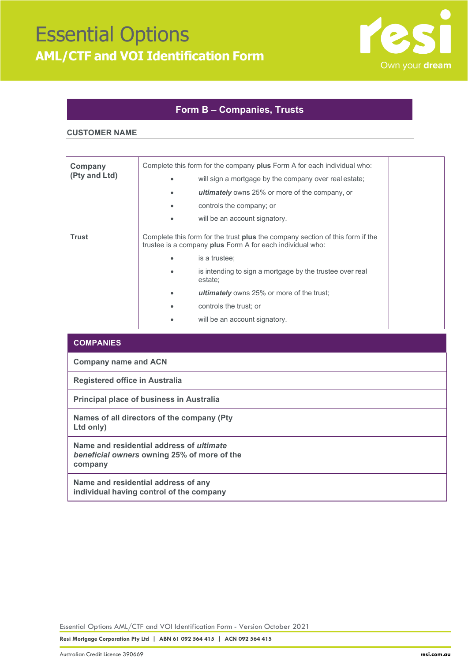

### **Form B – Companies, Trusts**

#### **CUSTOMER NAME**

| Company<br>(Pty and Ltd) |                                                                                                                                                                    | Complete this form for the company plus Form A for each individual who:<br>will sign a mortgage by the company over real estate;<br><b>ultimately</b> owns 25% or more of the company, or<br>controls the company; or<br>will be an account signatory. |  |
|--------------------------|--------------------------------------------------------------------------------------------------------------------------------------------------------------------|--------------------------------------------------------------------------------------------------------------------------------------------------------------------------------------------------------------------------------------------------------|--|
| <b>Trust</b>             | Complete this form for the trust <b>plus</b> the company section of this form if the<br>trustee is a company plus Form A for each individual who:<br>is a trustee; |                                                                                                                                                                                                                                                        |  |
|                          |                                                                                                                                                                    | is intending to sign a mortgage by the trustee over real<br>estate;<br><b>ultimately</b> owns 25% or more of the trust;<br>controls the trust; or                                                                                                      |  |
|                          |                                                                                                                                                                    | will be an account signatory.                                                                                                                                                                                                                          |  |

| <b>COMPANIES</b>                                                                                          |  |
|-----------------------------------------------------------------------------------------------------------|--|
| <b>Company name and ACN</b>                                                                               |  |
| <b>Registered office in Australia</b>                                                                     |  |
| <b>Principal place of business in Australia</b>                                                           |  |
| Names of all directors of the company (Pty)<br>Ltd only)                                                  |  |
| Name and residential address of <i>ultimate</i><br>beneficial owners owning 25% of more of the<br>company |  |
| Name and residential address of any<br>individual having control of the company                           |  |

Essential Options AML/CTF and VOI Identification Form - Version October 2021